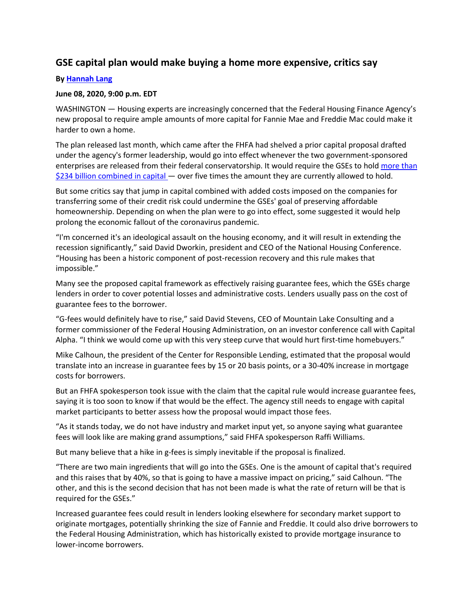## **GSE capital plan would make buying a home more expensive, critics say**

## **By [Hannah Lang](https://www.americanbanker.com/author/hannah-lang)**

## **June 08, 2020, 9:00 p.m. EDT**

WASHINGTON — Housing experts are increasingly concerned that the Federal Housing Finance Agency's new proposal to require ample amounts of more capital for Fannie Mae and Freddie Mac could make it harder to own a home.

The plan released last month, which came after the FHFA had shelved a prior capital proposal drafted under the agency's former leadership, would go into effect whenever the two government-sponsored enterprises are released from their federal conservatorship. It would require the GSEs to hold more than [\\$234 billion combined in capital](https://www.americanbanker.com/news/fhfa-plan-would-make-gses-hold-banklike-capital-amounts) — over five times the amount they are currently allowed to hold.

But some critics say that jump in capital combined with added costs imposed on the companies for transferring some of their credit risk could undermine the GSEs' goal of preserving affordable homeownership. Depending on when the plan were to go into effect, some suggested it would help prolong the economic fallout of the coronavirus pandemic.

"I'm concerned it's an ideological assault on the housing economy, and it will result in extending the recession significantly," said David Dworkin, president and CEO of the National Housing Conference. "Housing has been a historic component of post-recession recovery and this rule makes that impossible."

Many see the proposed capital framework as effectively raising guarantee fees, which the GSEs charge lenders in order to cover potential losses and administrative costs. Lenders usually pass on the cost of guarantee fees to the borrower.

"G-fees would definitely have to rise," said David Stevens, CEO of Mountain Lake Consulting and a former commissioner of the Federal Housing Administration, on an investor conference call with Capital Alpha. "I think we would come up with this very steep curve that would hurt first-time homebuyers."

Mike Calhoun, the president of the Center for Responsible Lending, estimated that the proposal would translate into an increase in guarantee fees by 15 or 20 basis points, or a 30-40% increase in mortgage costs for borrowers.

But an FHFA spokesperson took issue with the claim that the capital rule would increase guarantee fees, saying it is too soon to know if that would be the effect. The agency still needs to engage with capital market participants to better assess how the proposal would impact those fees.

"As it stands today, we do not have industry and market input yet, so anyone saying what guarantee fees will look like are making grand assumptions," said FHFA spokesperson Raffi Williams.

But many believe that a hike in g-fees is simply inevitable if the proposal is finalized.

"There are two main ingredients that will go into the GSEs. One is the amount of capital that's required and this raises that by 40%, so that is going to have a massive impact on pricing," said Calhoun. "The other, and this is the second decision that has not been made is what the rate of return will be that is required for the GSEs."

Increased guarantee fees could result in lenders looking elsewhere for secondary market support to originate mortgages, potentially shrinking the size of Fannie and Freddie. It could also drive borrowers to the Federal Housing Administration, which has historically existed to provide mortgage insurance to lower-income borrowers.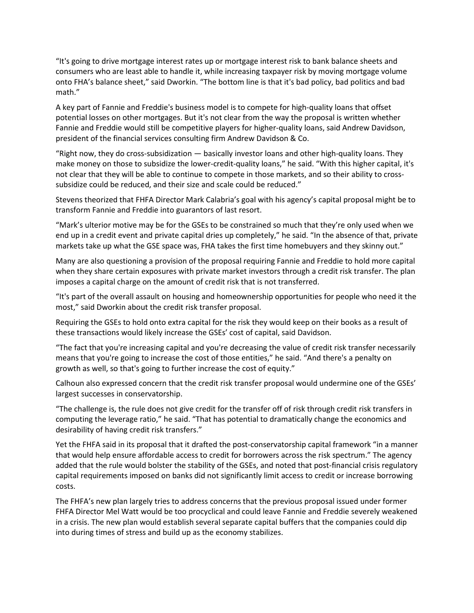"It's going to drive mortgage interest rates up or mortgage interest risk to bank balance sheets and consumers who are least able to handle it, while increasing taxpayer risk by moving mortgage volume onto FHA's balance sheet," said Dworkin. "The bottom line is that it's bad policy, bad politics and bad math."

A key part of Fannie and Freddie's business model is to compete for high-quality loans that offset potential losses on other mortgages. But it's not clear from the way the proposal is written whether Fannie and Freddie would still be competitive players for higher-quality loans, said Andrew Davidson, president of the financial services consulting firm Andrew Davidson & Co.

"Right now, they do cross-subsidization — basically investor loans and other high-quality loans. They make money on those to subsidize the lower-credit-quality loans," he said. "With this higher capital, it's not clear that they will be able to continue to compete in those markets, and so their ability to crosssubsidize could be reduced, and their size and scale could be reduced."

Stevens theorized that FHFA Director Mark Calabria's goal with his agency's capital proposal might be to transform Fannie and Freddie into guarantors of last resort.

"Mark's ulterior motive may be for the GSEs to be constrained so much that they're only used when we end up in a credit event and private capital dries up completely," he said. "In the absence of that, private markets take up what the GSE space was, FHA takes the first time homebuyers and they skinny out."

Many are also questioning a provision of the proposal requiring Fannie and Freddie to hold more capital when they share certain exposures with private market investors through a credit risk transfer. The plan imposes a capital charge on the amount of credit risk that is not transferred.

"It's part of the overall assault on housing and homeownership opportunities for people who need it the most," said Dworkin about the credit risk transfer proposal.

Requiring the GSEs to hold onto extra capital for the risk they would keep on their books as a result of these transactions would likely increase the GSEs' cost of capital, said Davidson.

"The fact that you're increasing capital and you're decreasing the value of credit risk transfer necessarily means that you're going to increase the cost of those entities," he said. "And there's a penalty on growth as well, so that's going to further increase the cost of equity."

Calhoun also expressed concern that the credit risk transfer proposal would undermine one of the GSEs' largest successes in conservatorship.

"The challenge is, the rule does not give credit for the transfer off of risk through credit risk transfers in computing the leverage ratio," he said. "That has potential to dramatically change the economics and desirability of having credit risk transfers."

Yet the FHFA said in its proposal that it drafted the post-conservatorship capital framework "in a manner that would help ensure affordable access to credit for borrowers across the risk spectrum." The agency added that the rule would bolster the stability of the GSEs, and noted that post-financial crisis regulatory capital requirements imposed on banks did not significantly limit access to credit or increase borrowing costs.

The FHFA's new plan largely tries to address concerns that the previous proposal issued under former FHFA Director Mel Watt would be too procyclical and could leave Fannie and Freddie severely weakened in a crisis. The new plan would establish several separate capital buffers that the companies could dip into during times of stress and build up as the economy stabilizes.